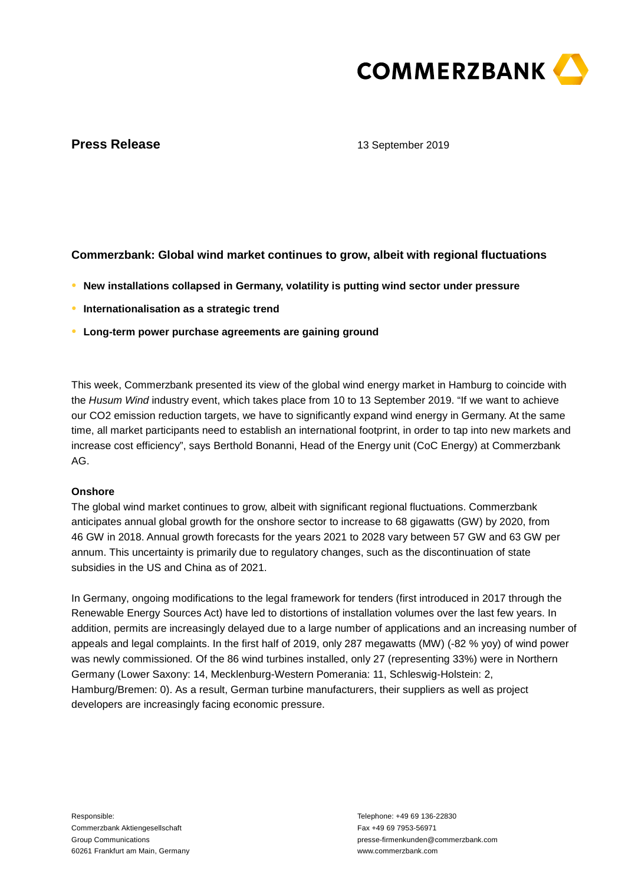

# **Press Release**

13 September 2019

# **Commerzbank: Global wind market continues to grow, albeit with regional fluctuations**

- **● New installations collapsed in Germany, volatility is putting wind sector under pressure**
- **● Internationalisation as a strategic trend**
- **● Long-term power purchase agreements are gaining ground**

This week, Commerzbank presented its view of the global wind energy market in Hamburg to coincide with the Husum Wind industry event, which takes place from 10 to 13 September 2019. "If we want to achieve our CO2 emission reduction targets, we have to significantly expand wind energy in Germany. At the same time, all market participants need to establish an international footprint, in order to tap into new markets and increase cost efficiency", says Berthold Bonanni, Head of the Energy unit (CoC Energy) at Commerzbank AG.

## **Onshore**

The global wind market continues to grow, albeit with significant regional fluctuations. Commerzbank anticipates annual global growth for the onshore sector to increase to 68 gigawatts (GW) by 2020, from 46 GW in 2018. Annual growth forecasts for the years 2021 to 2028 vary between 57 GW and 63 GW per annum. This uncertainty is primarily due to regulatory changes, such as the discontinuation of state subsidies in the US and China as of 2021.

In Germany, ongoing modifications to the legal framework for tenders (first introduced in 2017 through the Renewable Energy Sources Act) have led to distortions of installation volumes over the last few years. In addition, permits are increasingly delayed due to a large number of applications and an increasing number of appeals and legal complaints. In the first half of 2019, only 287 megawatts (MW) (-82 % yoy) of wind power was newly commissioned. Of the 86 wind turbines installed, only 27 (representing 33%) were in Northern Germany (Lower Saxony: 14, Mecklenburg-Western Pomerania: 11, Schleswig-Holstein: 2, Hamburg/Bremen: 0). As a result, German turbine manufacturers, their suppliers as well as project developers are increasingly facing economic pressure.

Responsible: Commerzbank Aktiengesellschaft Group Communications 60261 Frankfurt am Main, Germany

Telephone: +49 69 136-22830 Fax +49 69 7953-56971 presse-firmenkunden@commerzbank.com www.commerzbank.com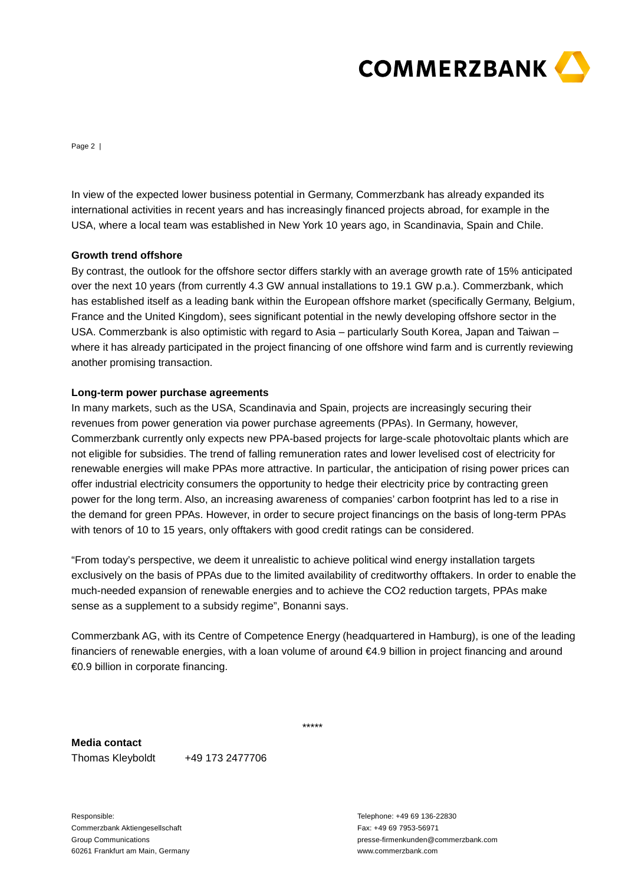

Page 2 |

In view of the expected lower business potential in Germany, Commerzbank has already expanded its international activities in recent years and has increasingly financed projects abroad, for example in the USA, where a local team was established in New York 10 years ago, in Scandinavia, Spain and Chile.

## **Growth trend offshore**

By contrast, the outlook for the offshore sector differs starkly with an average growth rate of 15% anticipated over the next 10 years (from currently 4.3 GW annual installations to 19.1 GW p.a.). Commerzbank, which has established itself as a leading bank within the European offshore market (specifically Germany, Belgium, France and the United Kingdom), sees significant potential in the newly developing offshore sector in the USA. Commerzbank is also optimistic with regard to Asia – particularly South Korea, Japan and Taiwan – where it has already participated in the project financing of one offshore wind farm and is currently reviewing another promising transaction.

### **Long-term power purchase agreements**

In many markets, such as the USA, Scandinavia and Spain, projects are increasingly securing their revenues from power generation via power purchase agreements (PPAs). In Germany, however, Commerzbank currently only expects new PPA-based projects for large-scale photovoltaic plants which are not eligible for subsidies. The trend of falling remuneration rates and lower levelised cost of electricity for renewable energies will make PPAs more attractive. In particular, the anticipation of rising power prices can offer industrial electricity consumers the opportunity to hedge their electricity price by contracting green power for the long term. Also, an increasing awareness of companies' carbon footprint has led to a rise in the demand for green PPAs. However, in order to secure project financings on the basis of long-term PPAs with tenors of 10 to 15 years, only offtakers with good credit ratings can be considered.

"From today's perspective, we deem it unrealistic to achieve political wind energy installation targets exclusively on the basis of PPAs due to the limited availability of creditworthy offtakers. In order to enable the much-needed expansion of renewable energies and to achieve the CO2 reduction targets, PPAs make sense as a supplement to a subsidy regime", Bonanni says.

Commerzbank AG, with its Centre of Competence Energy (headquartered in Hamburg), is one of the leading financiers of renewable energies, with a loan volume of around €4.9 billion in project financing and around €0.9 billion in corporate financing.

\*\*\*\*\*

## **Media contact**

Thomas Kleyboldt +49 173 2477706

Responsible: Commerzbank Aktiengesellschaft Group Communications 60261 Frankfurt am Main, Germany

Telephone: +49 69 136-22830 Fax: +49 69 7953-56971 presse-firmenkunden@commerzbank.com www.commerzbank.com